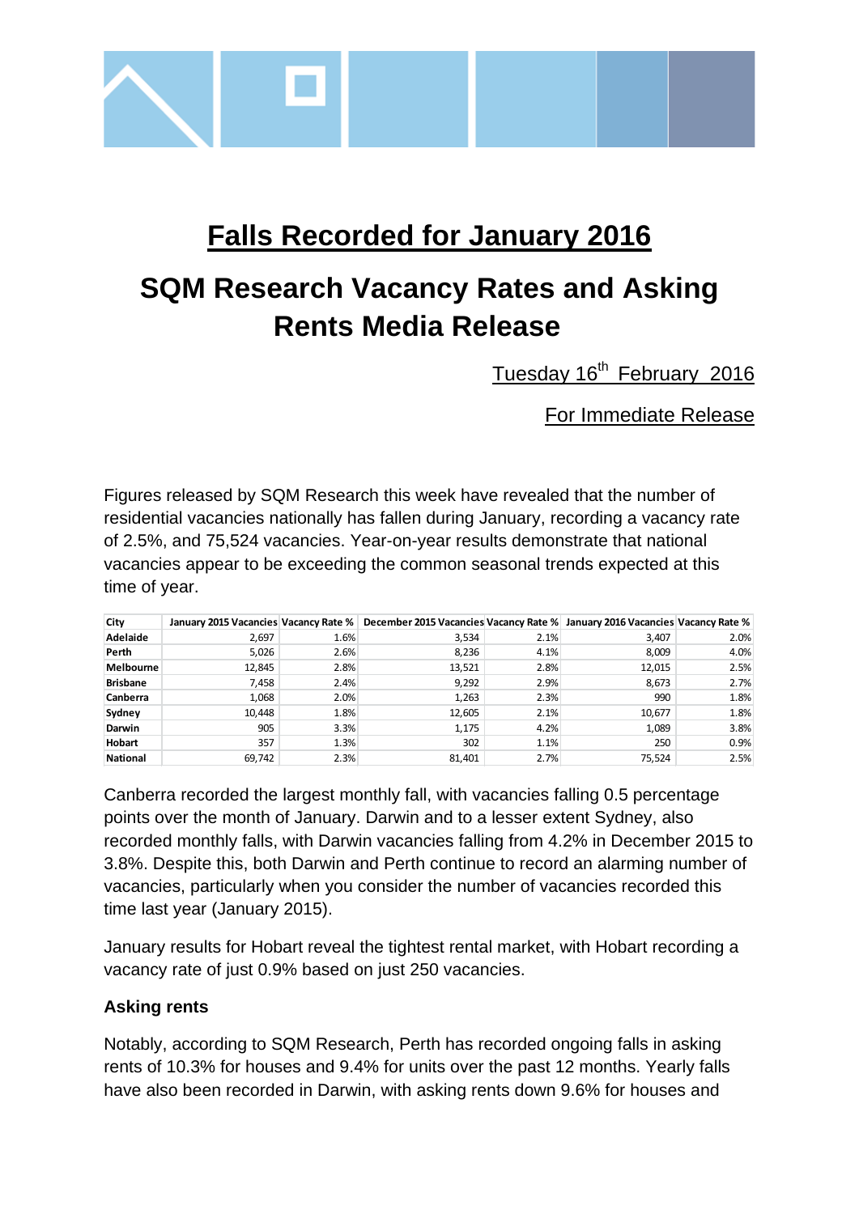

# **Falls Recorded for January 2016**

# **SQM Research Vacancy Rates and Asking Rents Media Release**

Tuesday 16<sup>th</sup> February 2016

For Immediate Release

Figures released by SQM Research this week have revealed that the number of residential vacancies nationally has fallen during January, recording a vacancy rate of 2.5%, and 75,524 vacancies. Year-on-year results demonstrate that national vacancies appear to be exceeding the common seasonal trends expected at this time of year.

| City             |        |      | January 2015 Vacancies Vacancy Rate % December 2015 Vacancies Vacancy Rate % January 2016 Vacancies Vacancy Rate % |      |        |      |
|------------------|--------|------|--------------------------------------------------------------------------------------------------------------------|------|--------|------|
| Adelaide         | 2,697  | 1.6% | 3,534                                                                                                              | 2.1% | 3,407  | 2.0% |
| Perth            | 5.026  | 2.6% | 8.236                                                                                                              | 4.1% | 8,009  | 4.0% |
| <b>Melbourne</b> | 12,845 | 2.8% | 13,521                                                                                                             | 2.8% | 12,015 | 2.5% |
| <b>Brisbane</b>  | 7,458  | 2.4% | 9,292                                                                                                              | 2.9% | 8,673  | 2.7% |
| Canberra         | 1.068  | 2.0% | 1.263                                                                                                              | 2.3% | 990    | 1.8% |
| Sydney           | 10,448 | 1.8% | 12,605                                                                                                             | 2.1% | 10,677 | 1.8% |
| Darwin           | 905    | 3.3% | 1,175                                                                                                              | 4.2% | 1,089  | 3.8% |
| <b>Hobart</b>    | 357    | 1.3% | 302                                                                                                                | 1.1% | 250    | 0.9% |
| <b>National</b>  | 69,742 | 2.3% | 81,401                                                                                                             | 2.7% | 75,524 | 2.5% |

Canberra recorded the largest monthly fall, with vacancies falling 0.5 percentage points over the month of January. Darwin and to a lesser extent Sydney, also recorded monthly falls, with Darwin vacancies falling from 4.2% in December 2015 to 3.8%. Despite this, both Darwin and Perth continue to record an alarming number of vacancies, particularly when you consider the number of vacancies recorded this time last year (January 2015).

January results for Hobart reveal the tightest rental market, with Hobart recording a vacancy rate of just 0.9% based on just 250 vacancies.

## **Asking rents**

Notably, according to SQM Research, Perth has recorded ongoing falls in asking rents of 10.3% for houses and 9.4% for units over the past 12 months. Yearly falls have also been recorded in Darwin, with asking rents down 9.6% for houses and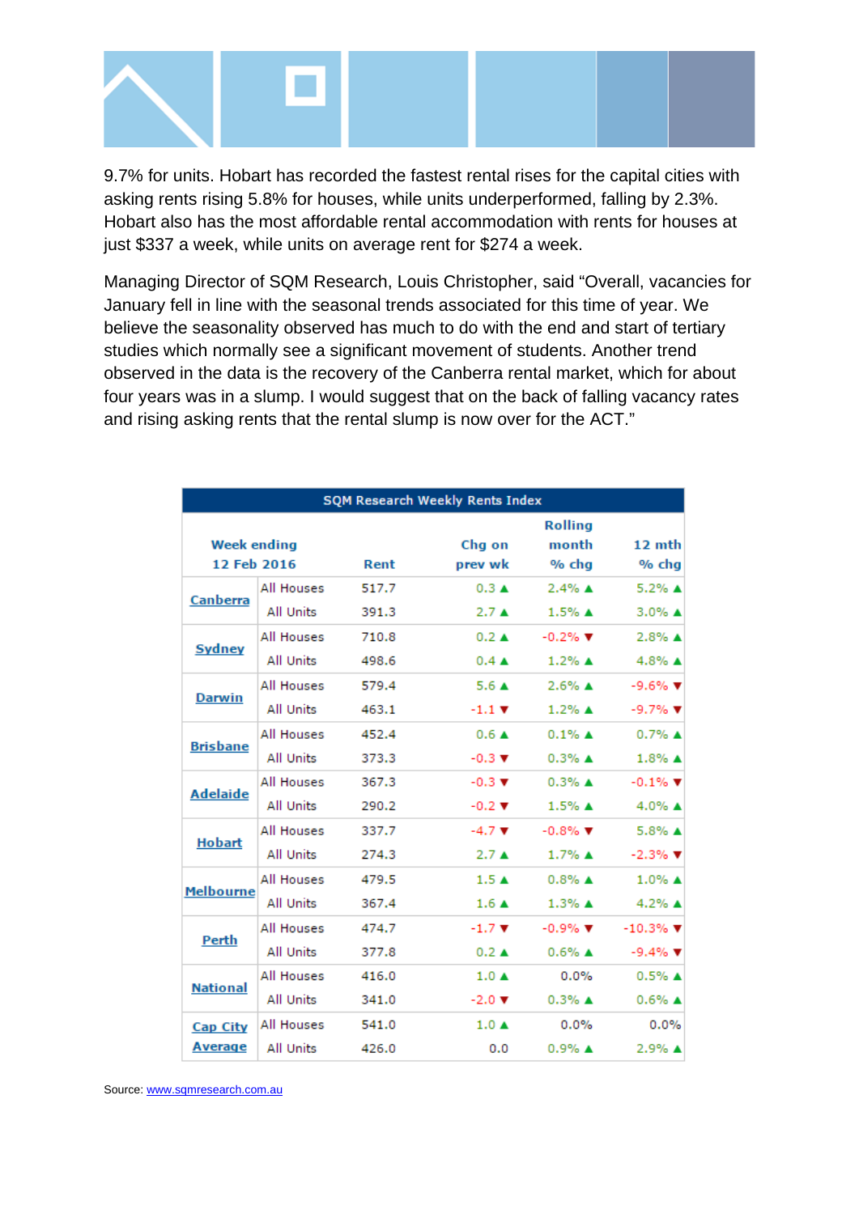

9.7% for units. Hobart has recorded the fastest rental rises for the capital cities with asking rents rising 5.8% for houses, while units underperformed, falling by 2.3%. Hobart also has the most affordable rental accommodation with rents for houses at just \$337 a week, while units on average rent for \$274 a week.

Managing Director of SQM Research, Louis Christopher, said "Overall, vacancies for January fell in line with the seasonal trends associated for this time of year. We believe the seasonality observed has much to do with the end and start of tertiary studies which normally see a significant movement of students. Another trend observed in the data is the recovery of the Canberra rental market, which for about four years was in a slump. I would suggest that on the back of falling vacancy rates and rising asking rents that the rental slump is now over for the ACT."

| <b>SQM Research Weekly Rents Index</b> |                   |       |                             |                               |                                |  |  |  |
|----------------------------------------|-------------------|-------|-----------------------------|-------------------------------|--------------------------------|--|--|--|
| <b>Week ending</b>                     |                   |       | Chg on                      | <b>Rolling</b><br>month       | 12 mth                         |  |  |  |
| 12 Feb 2016                            |                   | Rent  | prev wk                     | % chg                         | % chg                          |  |  |  |
| <b>Canberra</b>                        | All Houses        | 517.7 | $0.3 \triangle$             | $2.4\%$ $\triangle$           | 5.2% ▲                         |  |  |  |
|                                        | <b>All Units</b>  | 391.3 | $2.7 \triangle$             | $1.5%$ $\triangle$            | $3.0\%$ $\triangle$            |  |  |  |
| <b>Sydney</b>                          | All Houses        | 710.8 | $0.2 \triangle$             | $-0.2\%$ $\blacktriangledown$ | $2.8\%$ A                      |  |  |  |
|                                        | <b>All Units</b>  | 498.6 | $0.4 \triangle$             | $1.2\%$ $\triangle$           | 4.8% ▲                         |  |  |  |
| <b>Darwin</b>                          | <b>All Houses</b> | 579.4 | 5.6A                        | $2.6\%$ $\triangle$           | $-9.6%$ $\Psi$                 |  |  |  |
|                                        | <b>All Units</b>  | 463.1 | $-1.1$ $\blacktriangledown$ | $1.2\%$ A                     | $-9.7%$ $\blacktriangledown$   |  |  |  |
| <b>Brisbane</b>                        | All Houses        | 452.4 | $0.6 \triangle$             | $0.1\%$ A                     | $0.7\%$ A                      |  |  |  |
|                                        | All Units         | 373.3 | $-0.3$ $\blacktriangledown$ | $0.3\%$ A                     | $1.8\%$ $\triangle$            |  |  |  |
| <b>Adelaide</b>                        | <b>All Houses</b> | 367.3 | $-0.3$ $\blacktriangledown$ | $0.3\%$ $\triangle$           | $-0.1\%$ $\P$                  |  |  |  |
|                                        | All Units         | 290.2 | $-0.2$ $\blacktriangledown$ | $1.5%$ $\triangle$            | 4.0% ▲                         |  |  |  |
| <b>Hobart</b>                          | All Houses        | 337.7 | $-4.7$ $\blacktriangledown$ | $-0.8\%$ $\blacktriangledown$ | $5.8\%$ A                      |  |  |  |
|                                        | All Units         | 274.3 | $2.7 \triangle$             | $1.7\%$ A                     | $-2.3\%$ $\Psi$                |  |  |  |
| <b>Melbourne</b>                       | All Houses        | 479.5 | 1.5A                        | $0.8\%$ A                     | $1.0\%$ $\triangle$            |  |  |  |
|                                        | All Units         | 367.4 | $1.6 \triangle$             | $1.3\%$ $\triangle$           | 4.2% ▲                         |  |  |  |
| <b>Perth</b>                           | <b>All Houses</b> | 474.7 | $-1.7$ $\times$             | $-0.9%$ $\blacktriangledown$  | $-10.3\%$ $\blacktriangledown$ |  |  |  |
|                                        | All Units         | 377.8 | $0.2 \triangle$             | $0.6%$ $\triangle$            | $-9.4\%$ $\Psi$                |  |  |  |
| <b>National</b>                        | All Houses        | 416.0 | $1.0 \triangle$             | 0.0%                          | $0.5%$ $\triangle$             |  |  |  |
|                                        | <b>All Units</b>  | 341.0 | $-2.0$ $\times$             | $0.3\%$ $\triangle$           | $0.6\%$ $\triangle$            |  |  |  |
| <b>Cap City</b><br><b>Average</b>      | All Houses        | 541.0 | $1.0 \triangle$             | 0.0%                          | 0.0%                           |  |  |  |
|                                        | <b>All Units</b>  | 426.0 | 0.0                         | $0.9%$ $\triangle$            | $2.9%$ $\triangle$             |  |  |  |

Source: [www.sqmresearch.com.au](http://www.sqmresearch.com.au/)